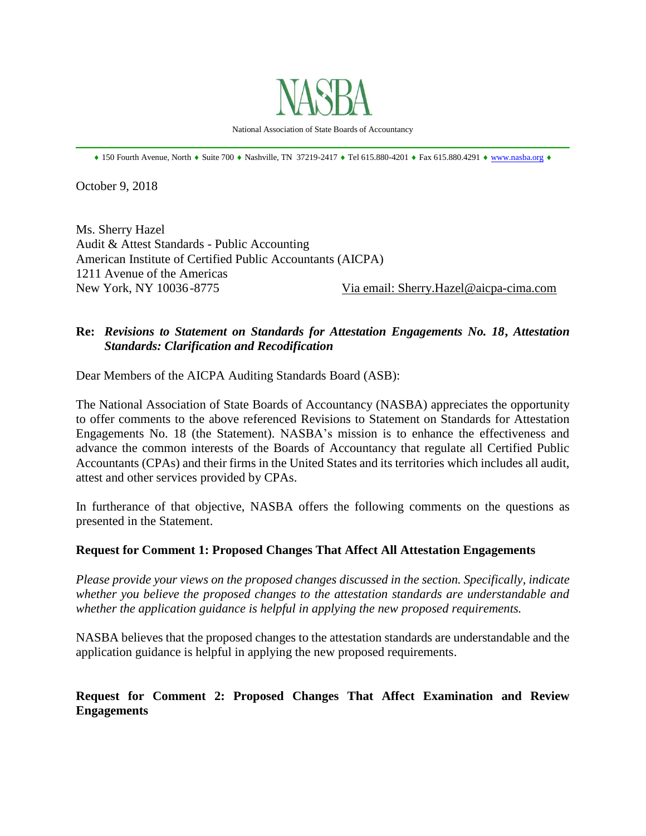

National Association of State Boards of Accountancy \_\_\_\_\_\_\_\_\_\_\_\_\_\_\_\_\_\_\_\_\_\_\_\_\_\_\_\_\_\_\_\_\_\_\_\_\_\_\_\_\_\_\_\_\_\_\_\_\_\_\_\_\_\_\_\_\_\_\_\_\_\_\_\_\_\_\_\_\_\_\_\_\_\_\_\_\_\_

 $*$  150 Fourth Avenue, North  $*$  Suite 700  $*$  Nashville, TN 37219-2417  $*$  Tel 615.880-4201  $*$  Fax 615.880.4291  $*$  [www.nasba.org](http://www.nasba.org/)  $*$ 

October 9, 2018

Ms. Sherry Hazel Audit & Attest Standards - Public Accounting American Institute of Certified Public Accountants (AICPA) 1211 Avenue of the Americas New York, NY 10036-8775 Via email: Sherry.Hazel@aicpa-cima.com

## **Re:** *Revisions to Statement on Standards for Attestation Engagements No. 18***,** *Attestation Standards: Clarification and Recodification*

Dear Members of the AICPA Auditing Standards Board (ASB):

The National Association of State Boards of Accountancy (NASBA) appreciates the opportunity to offer comments to the above referenced Revisions to Statement on Standards for Attestation Engagements No. 18 (the Statement). NASBA's mission is to enhance the effectiveness and advance the common interests of the Boards of Accountancy that regulate all Certified Public Accountants (CPAs) and their firms in the United States and its territories which includes all audit, attest and other services provided by CPAs.

In furtherance of that objective, NASBA offers the following comments on the questions as presented in the Statement.

#### **Request for Comment 1: Proposed Changes That Affect All Attestation Engagements**

*Please provide your views on the proposed changes discussed in the section. Specifically, indicate whether you believe the proposed changes to the attestation standards are understandable and whether the application guidance is helpful in applying the new proposed requirements.*

NASBA believes that the proposed changes to the attestation standards are understandable and the application guidance is helpful in applying the new proposed requirements.

## **Request for Comment 2: Proposed Changes That Affect Examination and Review Engagements**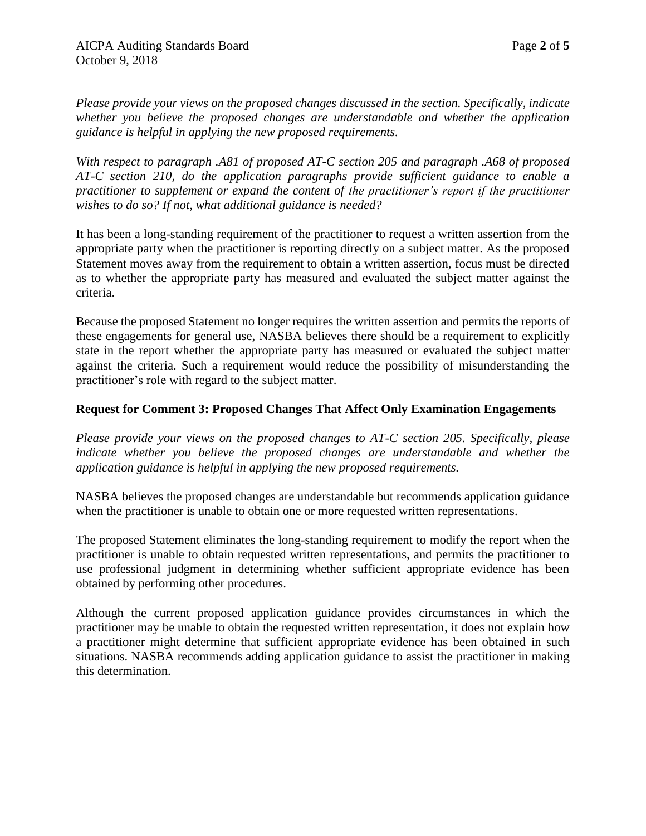*Please provide your views on the proposed changes discussed in the section. Specifically, indicate whether you believe the proposed changes are understandable and whether the application guidance is helpful in applying the new proposed requirements.*

*With respect to paragraph .A81 of proposed AT-C section 205 and paragraph .A68 of proposed AT-C section 210, do the application paragraphs provide sufficient guidance to enable a practitioner to supplement or expand the content of the practitioner's report if the practitioner wishes to do so? If not, what additional guidance is needed?*

It has been a long-standing requirement of the practitioner to request a written assertion from the appropriate party when the practitioner is reporting directly on a subject matter. As the proposed Statement moves away from the requirement to obtain a written assertion, focus must be directed as to whether the appropriate party has measured and evaluated the subject matter against the criteria.

Because the proposed Statement no longer requires the written assertion and permits the reports of these engagements for general use, NASBA believes there should be a requirement to explicitly state in the report whether the appropriate party has measured or evaluated the subject matter against the criteria. Such a requirement would reduce the possibility of misunderstanding the practitioner's role with regard to the subject matter.

## **Request for Comment 3: Proposed Changes That Affect Only Examination Engagements**

*Please provide your views on the proposed changes to AT-C section 205. Specifically, please indicate whether you believe the proposed changes are understandable and whether the application guidance is helpful in applying the new proposed requirements.*

NASBA believes the proposed changes are understandable but recommends application guidance when the practitioner is unable to obtain one or more requested written representations.

The proposed Statement eliminates the long-standing requirement to modify the report when the practitioner is unable to obtain requested written representations, and permits the practitioner to use professional judgment in determining whether sufficient appropriate evidence has been obtained by performing other procedures.

Although the current proposed application guidance provides circumstances in which the practitioner may be unable to obtain the requested written representation, it does not explain how a practitioner might determine that sufficient appropriate evidence has been obtained in such situations. NASBA recommends adding application guidance to assist the practitioner in making this determination.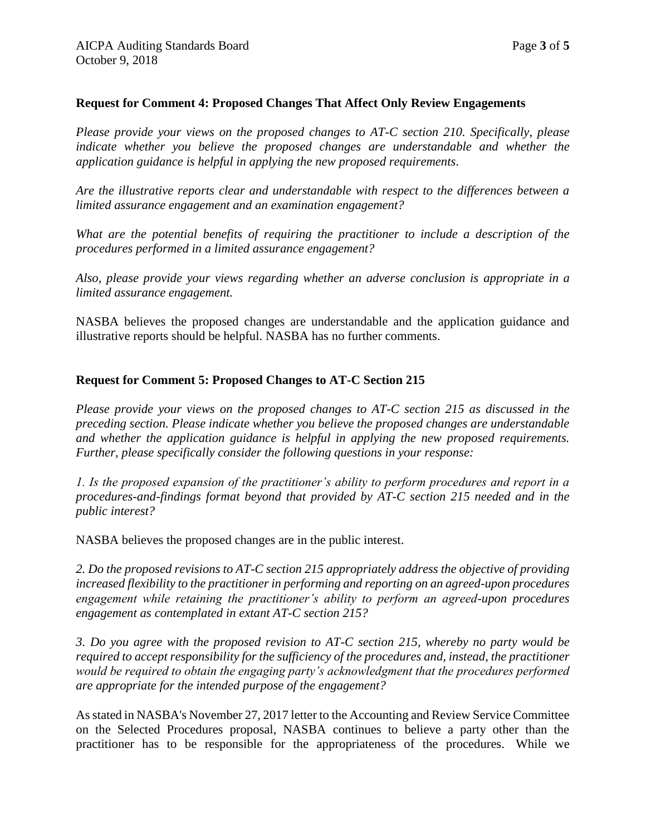### **Request for Comment 4: Proposed Changes That Affect Only Review Engagements**

*Please provide your views on the proposed changes to AT-C section 210. Specifically, please indicate whether you believe the proposed changes are understandable and whether the application guidance is helpful in applying the new proposed requirements.*

*Are the illustrative reports clear and understandable with respect to the differences between a limited assurance engagement and an examination engagement?*

*What are the potential benefits of requiring the practitioner to include a description of the procedures performed in a limited assurance engagement?*

*Also, please provide your views regarding whether an adverse conclusion is appropriate in a limited assurance engagement.*

NASBA believes the proposed changes are understandable and the application guidance and illustrative reports should be helpful. NASBA has no further comments.

### **Request for Comment 5: Proposed Changes to AT-C Section 215**

*Please provide your views on the proposed changes to AT-C section 215 as discussed in the preceding section. Please indicate whether you believe the proposed changes are understandable and whether the application guidance is helpful in applying the new proposed requirements. Further, please specifically consider the following questions in your response:* 

*1. Is the proposed expansion of the practitioner's ability to perform procedures and report in a procedures-and-findings format beyond that provided by AT-C section 215 needed and in the public interest?* 

NASBA believes the proposed changes are in the public interest.

*2. Do the proposed revisions to AT-C section 215 appropriately address the objective of providing increased flexibility to the practitioner in performing and reporting on an agreed-upon procedures engagement while retaining the practitioner's ability to perform an agreed-upon procedures engagement as contemplated in extant AT-C section 215?* 

*3. Do you agree with the proposed revision to AT-C section 215, whereby no party would be required to accept responsibility for the sufficiency of the procedures and, instead, the practitioner would be required to obtain the engaging party's acknowledgment that the procedures performed are appropriate for the intended purpose of the engagement?*

As stated in NASBA's November 27, 2017 letter to the Accounting and Review Service Committee on the Selected Procedures proposal, NASBA continues to believe a party other than the practitioner has to be responsible for the appropriateness of the procedures. While we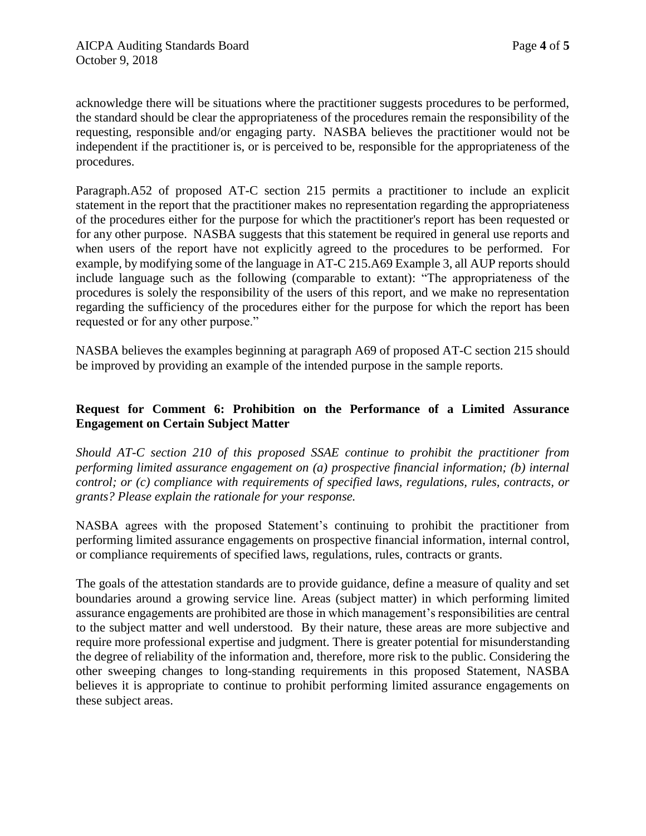acknowledge there will be situations where the practitioner suggests procedures to be performed, the standard should be clear the appropriateness of the procedures remain the responsibility of the requesting, responsible and/or engaging party. NASBA believes the practitioner would not be independent if the practitioner is, or is perceived to be, responsible for the appropriateness of the procedures.

Paragraph.A52 of proposed AT-C section 215 permits a practitioner to include an explicit statement in the report that the practitioner makes no representation regarding the appropriateness of the procedures either for the purpose for which the practitioner's report has been requested or for any other purpose. NASBA suggests that this statement be required in general use reports and when users of the report have not explicitly agreed to the procedures to be performed. For example, by modifying some of the language in AT-C 215.A69 Example 3, all AUP reports should include language such as the following (comparable to extant): "The appropriateness of the procedures is solely the responsibility of the users of this report, and we make no representation regarding the sufficiency of the procedures either for the purpose for which the report has been requested or for any other purpose."

NASBA believes the examples beginning at paragraph A69 of proposed AT-C section 215 should be improved by providing an example of the intended purpose in the sample reports.

# **Request for Comment 6: Prohibition on the Performance of a Limited Assurance Engagement on Certain Subject Matter**

*Should AT-C section 210 of this proposed SSAE continue to prohibit the practitioner from performing limited assurance engagement on (a) prospective financial information; (b) internal control; or (c) compliance with requirements of specified laws, regulations, rules, contracts, or grants? Please explain the rationale for your response.*

NASBA agrees with the proposed Statement's continuing to prohibit the practitioner from performing limited assurance engagements on prospective financial information, internal control, or compliance requirements of specified laws, regulations, rules, contracts or grants.

The goals of the attestation standards are to provide guidance, define a measure of quality and set boundaries around a growing service line. Areas (subject matter) in which performing limited assurance engagements are prohibited are those in which management's responsibilities are central to the subject matter and well understood. By their nature, these areas are more subjective and require more professional expertise and judgment. There is greater potential for misunderstanding the degree of reliability of the information and, therefore, more risk to the public. Considering the other sweeping changes to long-standing requirements in this proposed Statement, NASBA believes it is appropriate to continue to prohibit performing limited assurance engagements on these subject areas.